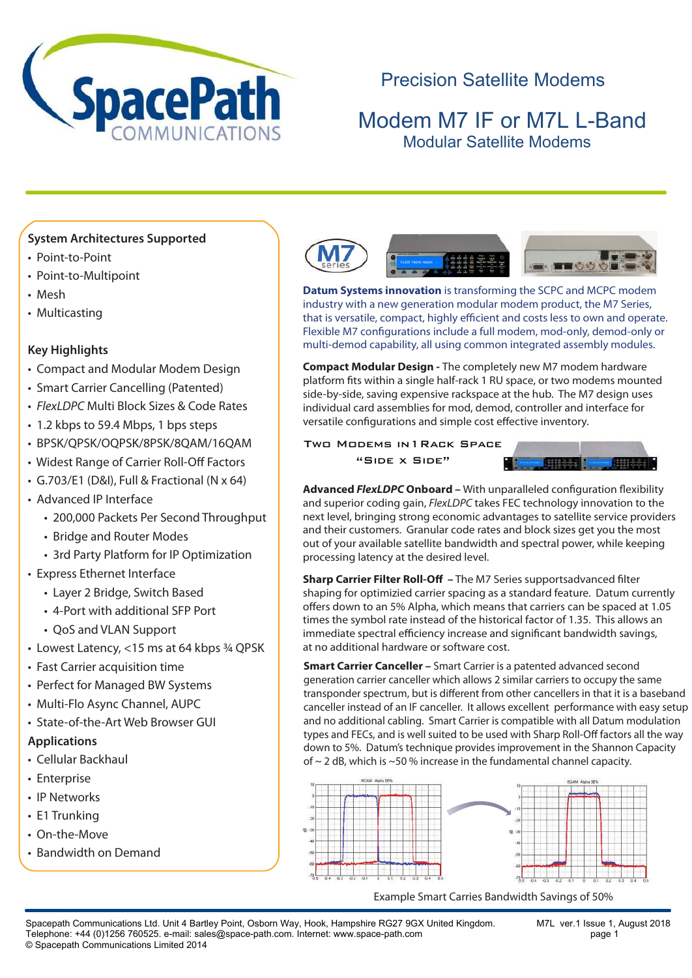

# Precision Satellite Modems

# Modem M7 IF or M7L L-Band Modular Satellite Modems

M7 Modular MODEM SERIES

### **System Architectures Supported**

- Point-to-Point
- Point-to-Multipoint
- Mesh
- Multicasting

### **Key Highlights**

- Compact and Modular Modem Design
- Smart Carrier Cancelling (Patented)
- *FlexLDPC* Multi Block Sizes & Code Rates
- 1.2 kbps to 59.4 Mbps, 1 bps steps
- BPSK/QPSK/OQPSK/8PSK/8QAM/16QAM
- Widest Range of Carrier Roll-Off Factors
- G.703/E1 (D&I), Full & Fractional (N x 64)
- Advanced IP Interface
	- 200,000 Packets Per Second Throughput
	- Bridge and Router Modes
	- 3rd Party Platform for IP Optimization
- Express Ethernet Interface
	- Layer 2 Bridge, Switch Based
	- 4-Port with additional SFP Port
	- QoS and VLAN Support
- Lowest Latency, <15 ms at 64 kbps 3/4 QPSK
- Fast Carrier acquisition time
- Perfect for Managed BW Systems
- Multi-Flo Async Channel, AUPC
- State-of-the-Art Web Browser GUI

#### **Applications**

- Cellular Backhaul
- Enterprise
- IP Networks
- E1 Trunking
- On-the-Move
- Bandwidth on Demand



**Datum Systems innovation** is transforming the SCPC and MCPC modem industry with a new generation modular modem product, the M7 Series, that is versatile, compact, highly efficient and costs less to own and operate. Flexible M7 configurations include a full modem, mod-only, demod-only or multi-demod capability, all using common integrated assembly modules.

**Compact Modular Design -** The completely new M7 modem hardware platform fits within a single half-rack 1 RU space, or two modems mounted side-by-side, saving expensive rackspace at the hub. The M7 design uses individual card assemblies for mod, demod, controller and interface for versatile configurations and simple cost effective inventory.

Two Modems in1Rack Space "Side x Side"



**Advanced** *FlexLDPC* **Onboard –** With unparalleled configuration flexibility and superior coding gain, *FlexLDPC* takes FEC technology innovation to the next level, bringing strong economic advantages to satellite service providers and their customers. Granular code rates and block sizes get you the most out of your available satellite bandwidth and spectral power, while keeping processing latency at the desired level.

**Sharp Carrier Filter Roll-Off** - The M7 Series supportsadvanced filter shaping for optimizied carrier spacing as a standard feature. Datum currently offers down to an 5% Alpha, which means that carriers can be spaced at 1.05 times the symbol rate instead of the historical factor of 1.35. This allows an immediate spectral efficiency increase and significant bandwidth savings, at no additional hardware or software cost.

**Smart Carrier Canceller –** Smart Carrier is a patented advanced second generation carrier canceller which allows 2 similar carriers to occupy the same transponder spectrum, but is different from other cancellers in that it is a baseband canceller instead of an IF canceller. It allows excellent performance with easy setup and no additional cabling. Smart Carrier is compatible with all Datum modulation types and FECs, and is well suited to be used with Sharp Roll-Off factors all the way down to 5%. Datum's technique provides improvement in the Shannon Capacity of ~ 2 dB, which is ~50 % increase in the fundamental channel capacity.



Example Smart Carries Bandwidth Savings of 50%